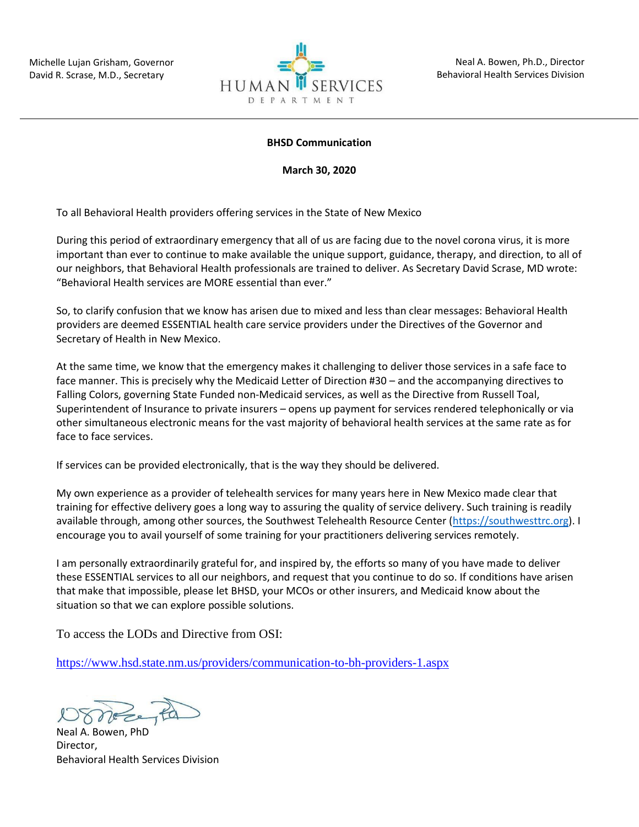

## **BHSD Communication**

**March 30, 2020**

To all Behavioral Health providers offering services in the State of New Mexico

During this period of extraordinary emergency that all of us are facing due to the novel corona virus, it is more important than ever to continue to make available the unique support, guidance, therapy, and direction, to all of our neighbors, that Behavioral Health professionals are trained to deliver. As Secretary David Scrase, MD wrote: "Behavioral Health services are MORE essential than ever."

So, to clarify confusion that we know has arisen due to mixed and less than clear messages: Behavioral Health providers are deemed ESSENTIAL health care service providers under the Directives of the Governor and Secretary of Health in New Mexico.

At the same time, we know that the emergency makes it challenging to deliver those services in a safe face to face manner. This is precisely why the Medicaid Letter of Direction #30 – and the accompanying directives to Falling Colors, governing State Funded non-Medicaid services, as well as the Directive from Russell Toal, Superintendent of Insurance to private insurers – opens up payment for services rendered telephonically or via other simultaneous electronic means for the vast majority of behavioral health services at the same rate as for face to face services.

If services can be provided electronically, that is the way they should be delivered.

My own experience as a provider of telehealth services for many years here in New Mexico made clear that training for effective delivery goes a long way to assuring the quality of service delivery. Such training is readily available through, among other sources, the Southwest Telehealth Resource Center [\(https://southwesttrc.org\)](https://southwesttrc.org/). I encourage you to avail yourself of some training for your practitioners delivering services remotely.

I am personally extraordinarily grateful for, and inspired by, the efforts so many of you have made to deliver these ESSENTIAL services to all our neighbors, and request that you continue to do so. If conditions have arisen that make that impossible, please let BHSD, your MCOs or other insurers, and Medicaid know about the situation so that we can explore possible solutions.

To access the LODs and Directive from OSI:

<https://www.hsd.state.nm.us/providers/communication-to-bh-providers-1.aspx>

Neal A. Bowen, PhD Director, Behavioral Health Services Division